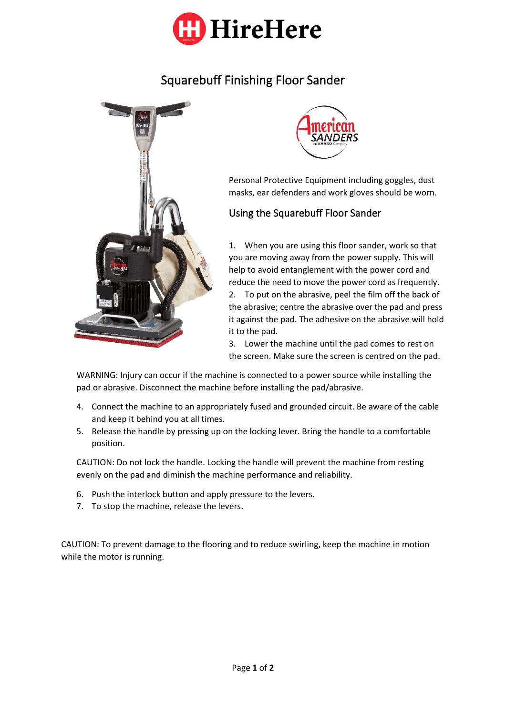

## Squarebuff Finishing Floor Sander





Personal Protective Equipment including goggles, dust masks, ear defenders and work gloves should be worn.

## Using the Squarebuff Floor Sander

1. When you are using this floor sander, work so that you are moving away from the power supply. This will help to avoid entanglement with the power cord and reduce the need to move the power cord as frequently. 2. To put on the abrasive, peel the film off the back of the abrasive; centre the abrasive over the pad and press it against the pad. The adhesive on the abrasive will hold it to the pad.

3. Lower the machine until the pad comes to rest on the screen. Make sure the screen is centred on the pad.

WARNING: Injury can occur if the machine is connected to a power source while installing the pad or abrasive. Disconnect the machine before installing the pad/abrasive.

- 4. Connect the machine to an appropriately fused and grounded circuit. Be aware of the cable and keep it behind you at all times.
- 5. Release the handle by pressing up on the locking lever. Bring the handle to a comfortable position.

CAUTION: Do not lock the handle. Locking the handle will prevent the machine from resting evenly on the pad and diminish the machine performance and reliability.

- 6. Push the interlock button and apply pressure to the levers.
- 7. To stop the machine, release the levers.

CAUTION: To prevent damage to the flooring and to reduce swirling, keep the machine in motion while the motor is running.